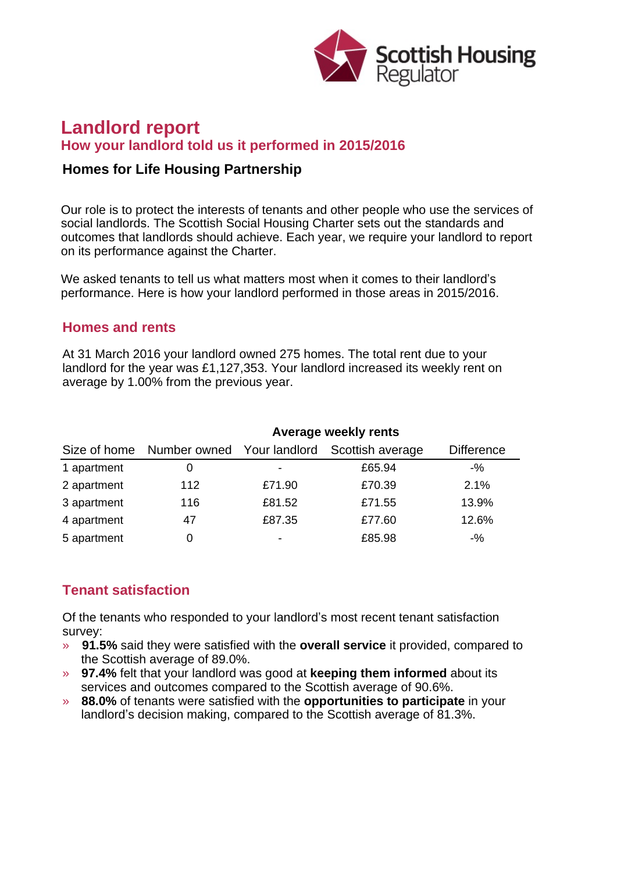

# **Landlord report How your landlord told us it performed in 2015/2016**

### **Homes for Life Housing Partnership**

Our role is to protect the interests of tenants and other people who use the services of social landlords. The Scottish Social Housing Charter sets out the standards and outcomes that landlords should achieve. Each year, we require your landlord to report on its performance against the Charter.

We asked tenants to tell us what matters most when it comes to their landlord's performance. Here is how your landlord performed in those areas in 2015/2016.

#### **Homes and rents**

At 31 March 2016 your landlord owned 275 homes. The total rent due to your landlord for the year was £1,127,353. Your landlord increased its weekly rent on average by 1.00% from the previous year.

|             | Average weekly rents |        |                                                          |                   |
|-------------|----------------------|--------|----------------------------------------------------------|-------------------|
|             |                      |        | Size of home Number owned Your landlord Scottish average | <b>Difference</b> |
| 1 apartment | 0                    |        | £65.94                                                   | $-$ %             |
| 2 apartment | 112                  | £71.90 | £70.39                                                   | 2.1%              |
| 3 apartment | 116                  | £81.52 | £71.55                                                   | 13.9%             |
| 4 apartment | 47                   | £87.35 | £77.60                                                   | 12.6%             |
| 5 apartment | 0                    | ۰      | £85.98                                                   | $-$ %             |

## **Tenant satisfaction**

Of the tenants who responded to your landlord's most recent tenant satisfaction survey:

- » **91.5%** said they were satisfied with the **overall service** it provided, compared to the Scottish average of 89.0%.
- » **97.4%** felt that your landlord was good at **keeping them informed** about its services and outcomes compared to the Scottish average of 90.6%.
- » **88.0%** of tenants were satisfied with the **opportunities to participate** in your landlord's decision making, compared to the Scottish average of 81.3%.